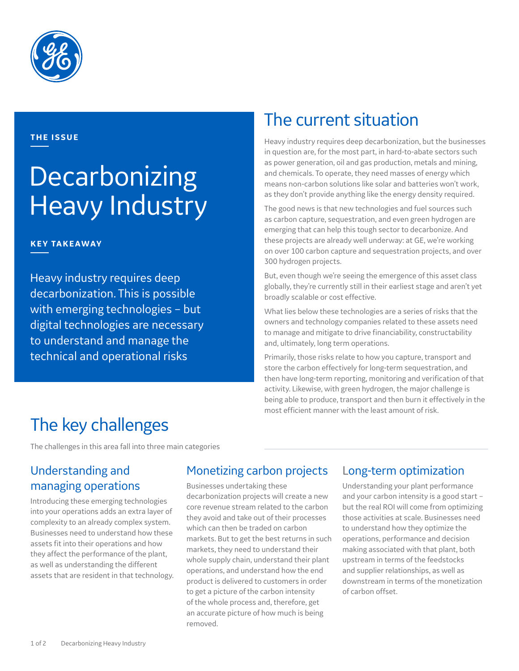

#### **THE ISSUE**

# Decarbonizing Heavy Industry

#### **KEY TAKEAWAY**

Heavy industry requires deep decarbonization. This is possible with emerging technologies – but digital technologies are necessary to understand and manage the technical and operational risks

### The current situation

Heavy industry requires deep decarbonization, but the businesses in question are, for the most part, in hard-to-abate sectors such as power generation, oil and gas production, metals and mining, and chemicals. To operate, they need masses of energy which means non-carbon solutions like solar and batteries won't work, as they don't provide anything like the energy density required.

The good news is that new technologies and fuel sources such as carbon capture, sequestration, and even green hydrogen are emerging that can help this tough sector to decarbonize. And these projects are already well underway: at GE, we're working on over 100 carbon capture and sequestration projects, and over 300 hydrogen projects.

But, even though we're seeing the emergence of this asset class globally, they're currently still in their earliest stage and aren't yet broadly scalable or cost effective.

What lies below these technologies are a series of risks that the owners and technology companies related to these assets need to manage and mitigate to drive financiability, constructability and, ultimately, long term operations.

Primarily, those risks relate to how you capture, transport and store the carbon effectively for long-term sequestration, and then have long-term reporting, monitoring and verification of that activity. Likewise, with green hydrogen, the major challenge is being able to produce, transport and then burn it effectively in the most efficient manner with the least amount of risk.

# The key challenges

The challenges in this area fall into three main categories

### Understanding and managing operations

Introducing these emerging technologies into your operations adds an extra layer of complexity to an already complex system. Businesses need to understand how these assets fit into their operations and how they affect the performance of the plant, as well as understanding the different assets that are resident in that technology.

#### Monetizing carbon projects

Businesses undertaking these decarbonization projects will create a new core revenue stream related to the carbon they avoid and take out of their processes which can then be traded on carbon markets. But to get the best returns in such markets, they need to understand their whole supply chain, understand their plant operations, and understand how the end product is delivered to customers in order to get a picture of the carbon intensity of the whole process and, therefore, get an accurate picture of how much is being removed.

#### Long-term optimization

Understanding your plant performance and your carbon intensity is a good start – but the real ROI will come from optimizing those activities at scale. Businesses need to understand how they optimize the operations, performance and decision making associated with that plant, both upstream in terms of the feedstocks and supplier relationships, as well as downstream in terms of the monetization of carbon offset.